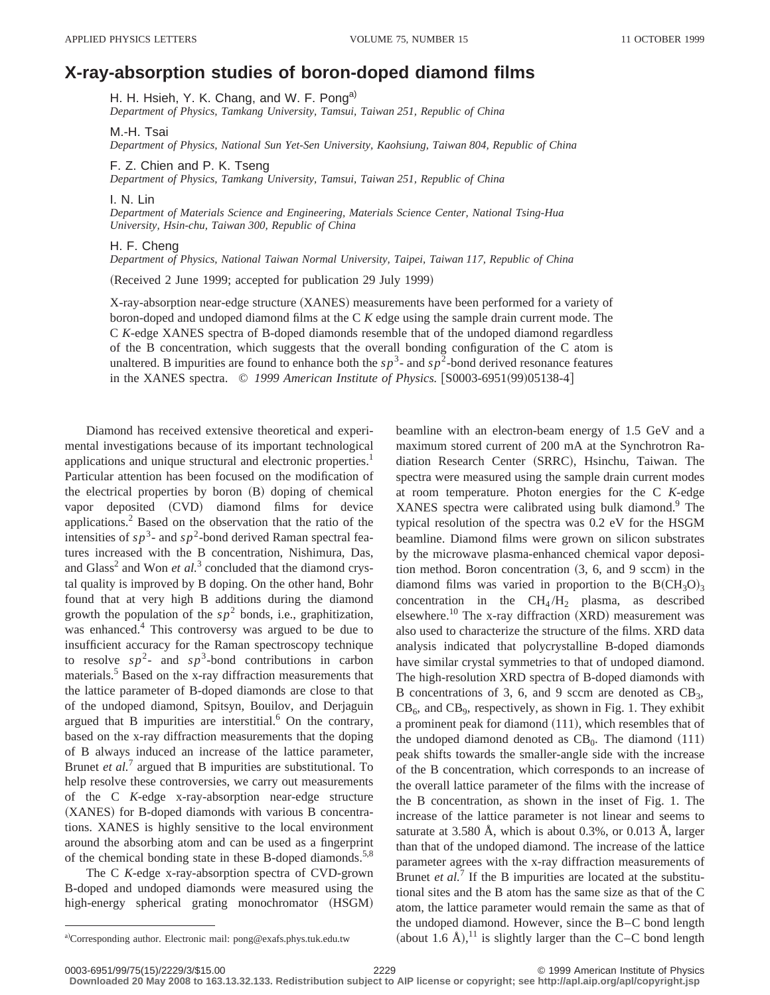## **X-ray-absorption studies of boron-doped diamond films**

H. H. Hsieh, Y. K. Chang, and W. F. Pong<sup>a)</sup>

*Department of Physics, Tamkang University, Tamsui, Taiwan 251, Republic of China*

M.-H. Tsai

*Department of Physics, National Sun Yet-Sen University, Kaohsiung, Taiwan 804, Republic of China*

F. Z. Chien and P. K. Tseng

*Department of Physics, Tamkang University, Tamsui, Taiwan 251, Republic of China*

I. N. Lin

*Department of Materials Science and Engineering, Materials Science Center, National Tsing-Hua University, Hsin-chu, Taiwan 300, Republic of China*

H. F. Cheng

*Department of Physics, National Taiwan Normal University, Taipei, Taiwan 117, Republic of China*

(Received 2 June 1999; accepted for publication 29 July 1999)

X-ray-absorption near-edge structure (XANES) measurements have been performed for a variety of boron-doped and undoped diamond films at the C *K* edge using the sample drain current mode. The C *K*-edge XANES spectra of B-doped diamonds resemble that of the undoped diamond regardless of the B concentration, which suggests that the overall bonding configuration of the C atom is unaltered. B impurities are found to enhance both the  $sp^3$ - and  $sp^2$ -bond derived resonance features in the XANES spectra. © 1999 American Institute of Physics. [S0003-6951(99)05138-4]

Diamond has received extensive theoretical and experimental investigations because of its important technological applications and unique structural and electronic properties.<sup>1</sup> Particular attention has been focused on the modification of the electrical properties by boron  $(B)$  doping of chemical vapor deposited (CVD) diamond films for device applications.2 Based on the observation that the ratio of the intensities of  $sp^3$ - and  $sp^2$ -bond derived Raman spectral features increased with the B concentration, Nishimura, Das, and Glass<sup>2</sup> and Won *et al.*<sup>3</sup> concluded that the diamond crystal quality is improved by B doping. On the other hand, Bohr found that at very high B additions during the diamond growth the population of the  $sp^2$  bonds, i.e., graphitization, was enhanced.<sup>4</sup> This controversy was argued to be due to insufficient accuracy for the Raman spectroscopy technique to resolve  $sp^2$ - and  $sp^3$ -bond contributions in carbon materials.5 Based on the x-ray diffraction measurements that the lattice parameter of B-doped diamonds are close to that of the undoped diamond, Spitsyn, Bouilov, and Derjaguin argued that B impurities are interstitial. $<sup>6</sup>$  On the contrary,</sup> based on the x-ray diffraction measurements that the doping of B always induced an increase of the lattice parameter, Brunet *et al.*<sup>7</sup> argued that B impurities are substitutional. To help resolve these controversies, we carry out measurements of the C *K*-edge x-ray-absorption near-edge structure (XANES) for B-doped diamonds with various B concentrations. XANES is highly sensitive to the local environment around the absorbing atom and can be used as a fingerprint of the chemical bonding state in these B-doped diamonds.<sup>5,8</sup>

The C *K*-edge x-ray-absorption spectra of CVD-grown B-doped and undoped diamonds were measured using the high-energy spherical grating monochromator (HSGM) beamline with an electron-beam energy of 1.5 GeV and a maximum stored current of 200 mA at the Synchrotron Radiation Research Center (SRRC), Hsinchu, Taiwan. The spectra were measured using the sample drain current modes at room temperature. Photon energies for the C *K*-edge XANES spectra were calibrated using bulk diamond.<sup>9</sup> The typical resolution of the spectra was 0.2 eV for the HSGM beamline. Diamond films were grown on silicon substrates by the microwave plasma-enhanced chemical vapor deposition method. Boron concentration  $(3, 6,$  and 9 sccm) in the diamond films was varied in proportion to the  $B(CH_3O)_3$ concentration in the  $CH<sub>4</sub>/H<sub>2</sub>$  plasma, as described elsewhere.<sup>10</sup> The x-ray diffraction  $(XRD)$  measurement was also used to characterize the structure of the films. XRD data analysis indicated that polycrystalline B-doped diamonds have similar crystal symmetries to that of undoped diamond. The high-resolution XRD spectra of B-doped diamonds with B concentrations of 3, 6, and 9 sccm are denoted as  $CB_3$ ,  $CB_6$ , and  $CB_9$ , respectively, as shown in Fig. 1. They exhibit a prominent peak for diamond  $(111)$ , which resembles that of the undoped diamond denoted as  $CB<sub>0</sub>$ . The diamond  $(111)$ peak shifts towards the smaller-angle side with the increase of the B concentration, which corresponds to an increase of the overall lattice parameter of the films with the increase of the B concentration, as shown in the inset of Fig. 1. The increase of the lattice parameter is not linear and seems to saturate at 3.580 Å, which is about 0.3%, or 0.013 Å, larger than that of the undoped diamond. The increase of the lattice parameter agrees with the x-ray diffraction measurements of Brunet *et al.*<sup>7</sup> If the B impurities are located at the substitutional sites and the B atom has the same size as that of the C atom, the lattice parameter would remain the same as that of the undoped diamond. However, since the B–C bond length

a)Corresponding author. Electronic mail: pong@exafs.phys.tuk.edu.tw (about 1.6 Å),<sup>11</sup> is slightly larger than the C–C bond length a)Corresponding author. Electronic mail: pong@exafs.phys.tuk.edu.tw

<sup>0003-6951/99/75(15)/2229/3/\$15.00 © 1999</sup> American Institute of Physics 2229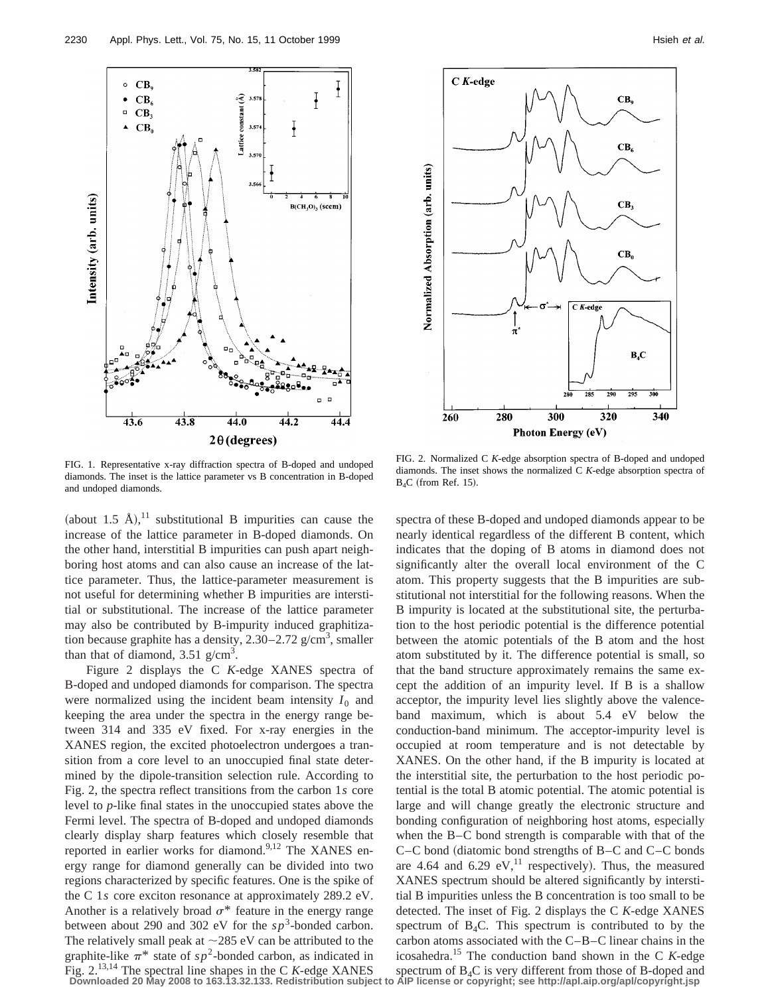

 $C$  K-edge  $CB<sub>9</sub>$  $CB<sub>6</sub>$ CB,  $CB<sub>0</sub>$ 

 $C$  K-edge

 $B_4C$ 

 $\frac{1}{205}$ 

340

320

FIG. 1. Representative x-ray diffraction spectra of B-doped and undoped diamonds. The inset is the lattice parameter vs B concentration in B-doped and undoped diamonds.

(about 1.5 Å),<sup>11</sup> substitutional B impurities can cause the increase of the lattice parameter in B-doped diamonds. On the other hand, interstitial B impurities can push apart neighboring host atoms and can also cause an increase of the lattice parameter. Thus, the lattice-parameter measurement is not useful for determining whether B impurities are interstitial or substitutional. The increase of the lattice parameter may also be contributed by B-impurity induced graphitization because graphite has a density,  $2.30-2.72$  g/cm<sup>3</sup>, smaller than that of diamond,  $3.51$  g/cm<sup>3</sup>.

Figure 2 displays the C *K*-edge XANES spectra of B-doped and undoped diamonds for comparison. The spectra were normalized using the incident beam intensity  $I_0$  and keeping the area under the spectra in the energy range between 314 and 335 eV fixed. For x-ray energies in the XANES region, the excited photoelectron undergoes a transition from a core level to an unoccupied final state determined by the dipole-transition selection rule. According to Fig. 2, the spectra reflect transitions from the carbon 1*s* core level to *p*-like final states in the unoccupied states above the Fermi level. The spectra of B-doped and undoped diamonds clearly display sharp features which closely resemble that reported in earlier works for diamond.<sup>9,12</sup> The XANES energy range for diamond generally can be divided into two regions characterized by specific features. One is the spike of the C 1*s* core exciton resonance at approximately 289.2 eV. Another is a relatively broad  $\sigma^*$  feature in the energy range between about 290 and 302 eV for the  $sp^3$ -bonded carbon. The relatively small peak at  $\sim$ 285 eV can be attributed to the graphite-like  $\pi^*$  state of  $sp^2$ -bonded carbon, as indicated in

FIG. 2. Normalized C *K*-edge absorption spectra of B-doped and undoped diamonds. The inset shows the normalized C *K*-edge absorption spectra of  $B_4C$  (from Ref. 15).

300

**Photon Energy (eV)** 

280

260

Normalized Absorption (arb. units)

Fig.  $2^{13,14}$  The spectral line shapes in the C K-edge XANES spectrum of B<sub>4</sub>C is very different from those of B-doped and Downloaded 20 May 2008 to 163.13.32.133. Redistribution subject to AlP license or copyright; see spectra of these B-doped and undoped diamonds appear to be nearly identical regardless of the different B content, which indicates that the doping of B atoms in diamond does not significantly alter the overall local environment of the C atom. This property suggests that the B impurities are substitutional not interstitial for the following reasons. When the B impurity is located at the substitutional site, the perturbation to the host periodic potential is the difference potential between the atomic potentials of the B atom and the host atom substituted by it. The difference potential is small, so that the band structure approximately remains the same except the addition of an impurity level. If B is a shallow acceptor, the impurity level lies slightly above the valenceband maximum, which is about 5.4 eV below the conduction-band minimum. The acceptor-impurity level is occupied at room temperature and is not detectable by XANES. On the other hand, if the B impurity is located at the interstitial site, the perturbation to the host periodic potential is the total B atomic potential. The atomic potential is large and will change greatly the electronic structure and bonding configuration of neighboring host atoms, especially when the B–C bond strength is comparable with that of the  $C-C$  bond (diatomic bond strengths of B–C and  $C-C$  bonds are 4.64 and 6.29 eV,<sup>11</sup> respectively). Thus, the measured XANES spectrum should be altered significantly by interstitial B impurities unless the B concentration is too small to be detected. The inset of Fig. 2 displays the C *K*-edge XANES spectrum of  $B_4C$ . This spectrum is contributed to by the carbon atoms associated with the C–B–C linear chains in the icosahedra.15 The conduction band shown in the C *K*-edge